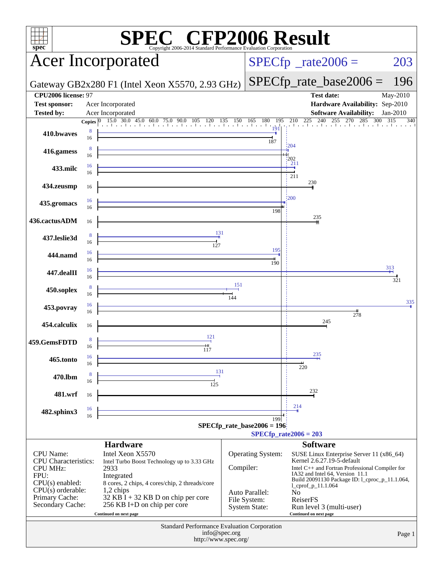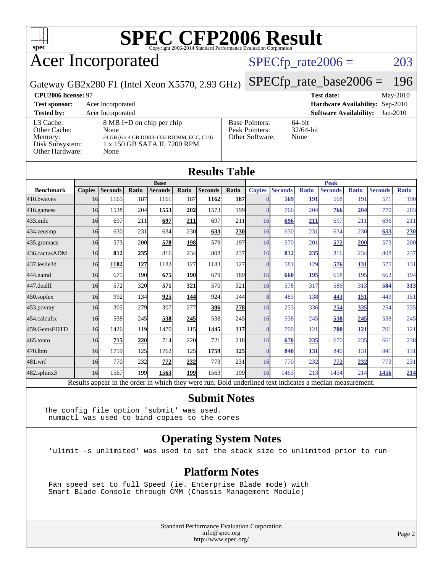

### Acer Incorporated

#### $SPECTp_rate2006 = 203$

Gateway GB2x280 F1 (Intel Xeon X5570, 2.93 GHz)

[SPECfp\\_rate\\_base2006 =](http://www.spec.org/auto/cpu2006/Docs/result-fields.html#SPECfpratebase2006) 196

| CPU <sub>2006</sub> license: 97                                            |                                                                                                                         | <b>Test date:</b><br>$\text{May-}2010$                     |                                             |
|----------------------------------------------------------------------------|-------------------------------------------------------------------------------------------------------------------------|------------------------------------------------------------|---------------------------------------------|
| <b>Test sponsor:</b>                                                       | Acer Incorporated                                                                                                       |                                                            | <b>Hardware Availability:</b> Sep-2010      |
| <b>Tested by:</b>                                                          | Acer Incorporated                                                                                                       |                                                            | <b>Software Availability:</b><br>$Jan-2010$ |
| L3 Cache:<br>Other Cache:<br>Memory:<br>Disk Subsystem:<br>Other Hardware: | 8 MB I+D on chip per chip<br>None<br>24 GB (6 x 4 GB DDR3-1333 RDIMM, ECC, CL9)<br>1 x 150 GB SATA II, 7200 RPM<br>None | <b>Base Pointers:</b><br>Peak Pointers:<br>Other Software: | $64$ -bit<br>$32/64$ -bit<br>None           |

| <b>Results Table</b> |               |                                                                                                          |       |                |       |                |                  |               |                |              |                |              |                |              |
|----------------------|---------------|----------------------------------------------------------------------------------------------------------|-------|----------------|-------|----------------|------------------|---------------|----------------|--------------|----------------|--------------|----------------|--------------|
|                      | <b>Base</b>   |                                                                                                          |       |                |       | <b>Peak</b>    |                  |               |                |              |                |              |                |              |
| <b>Benchmark</b>     | <b>Copies</b> | <b>Seconds</b>                                                                                           | Ratio | <b>Seconds</b> | Ratio | <b>Seconds</b> | Ratio            | <b>Copies</b> | <b>Seconds</b> | <b>Ratio</b> | <b>Seconds</b> | <b>Ratio</b> | <b>Seconds</b> | <b>Ratio</b> |
| 410.bwayes           | 16            | 1165                                                                                                     | 187   | 1161           | 187   | 1162           | <b>187</b>       | 8             | 569            | 191          | 568            | 191          | 571            | 190          |
| 416.gamess           | 16            | 1538                                                                                                     | 204   | 1553           | 202   | 1573           | 199              | 8             | 766            | 204          | 766            | 204          | 770            | 203          |
| 433.milc             | 16            | 697                                                                                                      | 211   | 697            | 211   | 697            | 211              | 16            | 696            | 211          | 697            | 211          | 696            | 211          |
| 434.zeusmp           | 16            | 630                                                                                                      | 231   | 634            | 230   | 633            | <b>230</b>       | 16            | 630            | 231          | 634            | 230          | 633            | 230          |
| 435.gromacs          | 16            | 573                                                                                                      | 200   | 578            | 198   | 579            | 197              | 16            | 570            | 201          | 572            | 200          | 573            | 200          |
| 436.cactusADM        | 16            | 812                                                                                                      | 235   | 816            | 234   | 808            | 237              | 16            | 812            | 235          | 816            | 234          | 808            | 237          |
| 437.leslie3d         | 16            | 1182                                                                                                     | 127   | 1182           | 127   | 1183           | 127              | 8             | 581            | 129          | 576            | 131          | 575            | 131          |
| 444.namd             | 16            | 675                                                                                                      | 190   | 675            | 190   | 679            | 189              | 16            | 660            | <b>195</b>   | 658            | 195          | 662            | 194          |
| 447.dealII           | 16            | 572                                                                                                      | 320   | 571            | 321   | 570            | 321              | 16            | 578            | 317          | 586            | 313          | 584            | 313          |
| $450$ .soplex        | 16            | 992                                                                                                      | 134   | 925            | 144   | 924            | 144              | 8             | 483            | 138          | 443            | 151          | 443            | 151          |
| $453$ .povray        | 16            | 305                                                                                                      | 279   | 307            | 277   | 306            | 278              | 16            | 253            | 336          | 254            | 335          | 254            | 335          |
| 454.calculix         | 16            | 538                                                                                                      | 245   | 538            | 245   | 538            | 245              | 16            | 538            | 245          | 538            | 245          | 538            | 245          |
| 459.GemsFDTD         | 16            | 1426                                                                                                     | 119   | 1470           | 115   | 1445           | <b>117</b>       | 8             | 700            | 121          | 700            | <b>121</b>   | 701            | 121          |
| $465$ .tonto         | 16            | 715                                                                                                      | 220   | 714            | 220   | 721            | 218              | 16            | 670            | 235          | 670            | 235          | 661            | 238          |
| 470.1bm              | 16            | 1759                                                                                                     | 125   | 1762           | 125   | 1759           | <b>125</b>       | 8             | 840            | 131          | 840            | 131          | 841            | 131          |
| 481.wrf              | 16            | 770                                                                                                      | 232   | 772            | 232   | 773            | 231              | 16            | 770            | 232          | 772            | 232          | 773            | 231          |
| 482.sphinx3          | 16            | 1567                                                                                                     | 199   | 1563           | 199   | 1563           | 199 <sub>1</sub> | 16            | 1463           | 213          | 1454           | 214          | 1456           | <u>214</u>   |
|                      |               | Results appear in the order in which they were run. Bold underlined text indicates a median measurement. |       |                |       |                |                  |               |                |              |                |              |                |              |

#### **[Submit Notes](http://www.spec.org/auto/cpu2006/Docs/result-fields.html#SubmitNotes)**

The config file option 'submit' was used. numactl was used to bind copies to the cores

#### **[Operating System Notes](http://www.spec.org/auto/cpu2006/Docs/result-fields.html#OperatingSystemNotes)**

'ulimit -s unlimited' was used to set the stack size to unlimited prior to run

#### **[Platform Notes](http://www.spec.org/auto/cpu2006/Docs/result-fields.html#PlatformNotes)**

 Fan speed set to full Speed (ie. Enterprise Blade mode) with Smart Blade Console through CMM (Chassis Management Module)

> Standard Performance Evaluation Corporation [info@spec.org](mailto:info@spec.org) <http://www.spec.org/>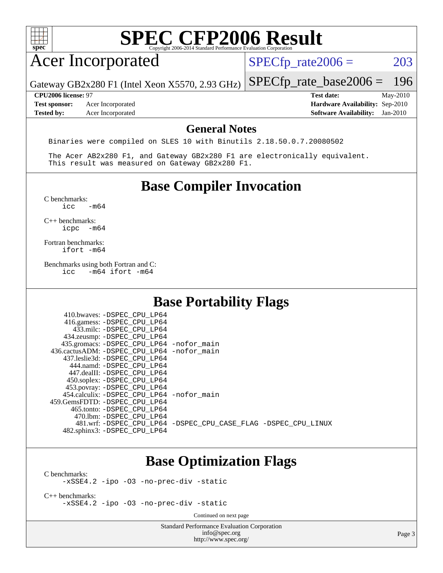

### Acer Incorporated

 $SPECTp_rate2006 = 203$ 

Gateway GB2x280 F1 (Intel Xeon X5570, 2.93 GHz)

**[Tested by:](http://www.spec.org/auto/cpu2006/Docs/result-fields.html#Testedby)** Acer Incorporated **[Software Availability:](http://www.spec.org/auto/cpu2006/Docs/result-fields.html#SoftwareAvailability)** Jan-2010

[SPECfp\\_rate\\_base2006 =](http://www.spec.org/auto/cpu2006/Docs/result-fields.html#SPECfpratebase2006) 196 **[CPU2006 license:](http://www.spec.org/auto/cpu2006/Docs/result-fields.html#CPU2006license)** 97 **[Test date:](http://www.spec.org/auto/cpu2006/Docs/result-fields.html#Testdate)** May-2010 **[Test sponsor:](http://www.spec.org/auto/cpu2006/Docs/result-fields.html#Testsponsor)** Acer Incorporated **[Hardware Availability:](http://www.spec.org/auto/cpu2006/Docs/result-fields.html#HardwareAvailability)** Sep-2010

#### **[General Notes](http://www.spec.org/auto/cpu2006/Docs/result-fields.html#GeneralNotes)**

Binaries were compiled on SLES 10 with Binutils 2.18.50.0.7.20080502

 The Acer AB2x280 F1, and Gateway GB2x280 F1 are electronically equivalent. This result was measured on Gateway GB2x280 F1.

#### **[Base Compiler Invocation](http://www.spec.org/auto/cpu2006/Docs/result-fields.html#BaseCompilerInvocation)**

 $C$  benchmarks:<br>icc  $-m64$ 

[C++ benchmarks:](http://www.spec.org/auto/cpu2006/Docs/result-fields.html#CXXbenchmarks) [icpc -m64](http://www.spec.org/cpu2006/results/res2010q3/cpu2006-20100715-12384.flags.html#user_CXXbase_intel_icpc_64bit_bedb90c1146cab66620883ef4f41a67e)

[Fortran benchmarks](http://www.spec.org/auto/cpu2006/Docs/result-fields.html#Fortranbenchmarks): [ifort -m64](http://www.spec.org/cpu2006/results/res2010q3/cpu2006-20100715-12384.flags.html#user_FCbase_intel_ifort_64bit_ee9d0fb25645d0210d97eb0527dcc06e)

[Benchmarks using both Fortran and C](http://www.spec.org/auto/cpu2006/Docs/result-fields.html#BenchmarksusingbothFortranandC):<br>icc -m64 ifort -m64  $-m64$  ifort  $-m64$ 

#### **[Base Portability Flags](http://www.spec.org/auto/cpu2006/Docs/result-fields.html#BasePortabilityFlags)**

| 410.bwaves: -DSPEC CPU LP64<br>416.gamess: -DSPEC_CPU_LP64<br>433.milc: -DSPEC CPU LP64<br>434.zeusmp: - DSPEC_CPU_LP64<br>435.gromacs: -DSPEC_CPU_LP64 -nofor_main<br>436.cactusADM: -DSPEC CPU LP64 -nofor main<br>437.leslie3d: -DSPEC CPU LP64<br>444.namd: -DSPEC CPU LP64<br>447.dealII: -DSPEC CPU LP64 |                                                                |
|----------------------------------------------------------------------------------------------------------------------------------------------------------------------------------------------------------------------------------------------------------------------------------------------------------------|----------------------------------------------------------------|
| 450.soplex: - DSPEC_CPU_LP64<br>453.povray: - DSPEC_CPU_LP64<br>454.calculix: - DSPEC CPU LP64 - nofor main<br>459. GemsFDTD: - DSPEC CPU LP64<br>465.tonto: - DSPEC CPU LP64                                                                                                                                  |                                                                |
| 470.1bm: - DSPEC CPU LP64<br>482.sphinx3: -DSPEC CPU LP64                                                                                                                                                                                                                                                      | 481.wrf: -DSPEC CPU_LP64 -DSPEC_CPU_CASE_FLAG -DSPEC_CPU_LINUX |

#### **[Base Optimization Flags](http://www.spec.org/auto/cpu2006/Docs/result-fields.html#BaseOptimizationFlags)**

[C benchmarks](http://www.spec.org/auto/cpu2006/Docs/result-fields.html#Cbenchmarks):

[-xSSE4.2](http://www.spec.org/cpu2006/results/res2010q3/cpu2006-20100715-12384.flags.html#user_CCbase_f-xSSE42_f91528193cf0b216347adb8b939d4107) [-ipo](http://www.spec.org/cpu2006/results/res2010q3/cpu2006-20100715-12384.flags.html#user_CCbase_f-ipo) [-O3](http://www.spec.org/cpu2006/results/res2010q3/cpu2006-20100715-12384.flags.html#user_CCbase_f-O3) [-no-prec-div](http://www.spec.org/cpu2006/results/res2010q3/cpu2006-20100715-12384.flags.html#user_CCbase_f-no-prec-div) [-static](http://www.spec.org/cpu2006/results/res2010q3/cpu2006-20100715-12384.flags.html#user_CCbase_f-static)

[C++ benchmarks:](http://www.spec.org/auto/cpu2006/Docs/result-fields.html#CXXbenchmarks) [-xSSE4.2](http://www.spec.org/cpu2006/results/res2010q3/cpu2006-20100715-12384.flags.html#user_CXXbase_f-xSSE42_f91528193cf0b216347adb8b939d4107) [-ipo](http://www.spec.org/cpu2006/results/res2010q3/cpu2006-20100715-12384.flags.html#user_CXXbase_f-ipo) [-O3](http://www.spec.org/cpu2006/results/res2010q3/cpu2006-20100715-12384.flags.html#user_CXXbase_f-O3) [-no-prec-div](http://www.spec.org/cpu2006/results/res2010q3/cpu2006-20100715-12384.flags.html#user_CXXbase_f-no-prec-div) [-static](http://www.spec.org/cpu2006/results/res2010q3/cpu2006-20100715-12384.flags.html#user_CXXbase_f-static)

Continued on next page

Standard Performance Evaluation Corporation [info@spec.org](mailto:info@spec.org) <http://www.spec.org/>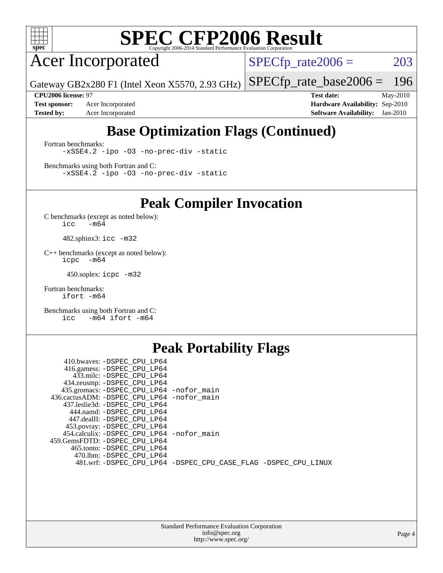

Acer Incorporated

 $SPECTp_rate2006 = 203$ 

Gateway GB2x280 F1 (Intel Xeon X5570, 2.93 GHz)

[SPECfp\\_rate\\_base2006 =](http://www.spec.org/auto/cpu2006/Docs/result-fields.html#SPECfpratebase2006) 196

**[Test sponsor:](http://www.spec.org/auto/cpu2006/Docs/result-fields.html#Testsponsor)** Acer Incorporated **[Hardware Availability:](http://www.spec.org/auto/cpu2006/Docs/result-fields.html#HardwareAvailability)** Sep-2010

**[CPU2006 license:](http://www.spec.org/auto/cpu2006/Docs/result-fields.html#CPU2006license)** 97 **[Test date:](http://www.spec.org/auto/cpu2006/Docs/result-fields.html#Testdate)** May-2010 **[Tested by:](http://www.spec.org/auto/cpu2006/Docs/result-fields.html#Testedby)** Acer Incorporated **[Software Availability:](http://www.spec.org/auto/cpu2006/Docs/result-fields.html#SoftwareAvailability)** Jan-2010

#### **[Base Optimization Flags \(Continued\)](http://www.spec.org/auto/cpu2006/Docs/result-fields.html#BaseOptimizationFlags)**

[Fortran benchmarks](http://www.spec.org/auto/cpu2006/Docs/result-fields.html#Fortranbenchmarks): [-xSSE4.2](http://www.spec.org/cpu2006/results/res2010q3/cpu2006-20100715-12384.flags.html#user_FCbase_f-xSSE42_f91528193cf0b216347adb8b939d4107) [-ipo](http://www.spec.org/cpu2006/results/res2010q3/cpu2006-20100715-12384.flags.html#user_FCbase_f-ipo) [-O3](http://www.spec.org/cpu2006/results/res2010q3/cpu2006-20100715-12384.flags.html#user_FCbase_f-O3) [-no-prec-div](http://www.spec.org/cpu2006/results/res2010q3/cpu2006-20100715-12384.flags.html#user_FCbase_f-no-prec-div) [-static](http://www.spec.org/cpu2006/results/res2010q3/cpu2006-20100715-12384.flags.html#user_FCbase_f-static)

[Benchmarks using both Fortran and C](http://www.spec.org/auto/cpu2006/Docs/result-fields.html#BenchmarksusingbothFortranandC): [-xSSE4.2](http://www.spec.org/cpu2006/results/res2010q3/cpu2006-20100715-12384.flags.html#user_CC_FCbase_f-xSSE42_f91528193cf0b216347adb8b939d4107) [-ipo](http://www.spec.org/cpu2006/results/res2010q3/cpu2006-20100715-12384.flags.html#user_CC_FCbase_f-ipo) [-O3](http://www.spec.org/cpu2006/results/res2010q3/cpu2006-20100715-12384.flags.html#user_CC_FCbase_f-O3) [-no-prec-div](http://www.spec.org/cpu2006/results/res2010q3/cpu2006-20100715-12384.flags.html#user_CC_FCbase_f-no-prec-div) [-static](http://www.spec.org/cpu2006/results/res2010q3/cpu2006-20100715-12384.flags.html#user_CC_FCbase_f-static)

**[Peak Compiler Invocation](http://www.spec.org/auto/cpu2006/Docs/result-fields.html#PeakCompilerInvocation)**

[C benchmarks \(except as noted below\)](http://www.spec.org/auto/cpu2006/Docs/result-fields.html#Cbenchmarksexceptasnotedbelow):  $\text{icc}$  -m64

482.sphinx3: [icc -m32](http://www.spec.org/cpu2006/results/res2010q3/cpu2006-20100715-12384.flags.html#user_peakCCLD482_sphinx3_intel_icc_32bit_a6a621f8d50482236b970c6ac5f55f93)

[C++ benchmarks \(except as noted below\):](http://www.spec.org/auto/cpu2006/Docs/result-fields.html#CXXbenchmarksexceptasnotedbelow) [icpc -m64](http://www.spec.org/cpu2006/results/res2010q3/cpu2006-20100715-12384.flags.html#user_CXXpeak_intel_icpc_64bit_bedb90c1146cab66620883ef4f41a67e)

450.soplex: [icpc -m32](http://www.spec.org/cpu2006/results/res2010q3/cpu2006-20100715-12384.flags.html#user_peakCXXLD450_soplex_intel_icpc_32bit_4e5a5ef1a53fd332b3c49e69c3330699)

[Fortran benchmarks](http://www.spec.org/auto/cpu2006/Docs/result-fields.html#Fortranbenchmarks): [ifort -m64](http://www.spec.org/cpu2006/results/res2010q3/cpu2006-20100715-12384.flags.html#user_FCpeak_intel_ifort_64bit_ee9d0fb25645d0210d97eb0527dcc06e)

[Benchmarks using both Fortran and C](http://www.spec.org/auto/cpu2006/Docs/result-fields.html#BenchmarksusingbothFortranandC): [icc -m64](http://www.spec.org/cpu2006/results/res2010q3/cpu2006-20100715-12384.flags.html#user_CC_FCpeak_intel_icc_64bit_0b7121f5ab7cfabee23d88897260401c) [ifort -m64](http://www.spec.org/cpu2006/results/res2010q3/cpu2006-20100715-12384.flags.html#user_CC_FCpeak_intel_ifort_64bit_ee9d0fb25645d0210d97eb0527dcc06e)

#### **[Peak Portability Flags](http://www.spec.org/auto/cpu2006/Docs/result-fields.html#PeakPortabilityFlags)**

| 410.bwaves: -DSPEC CPU LP64                |                                                                |
|--------------------------------------------|----------------------------------------------------------------|
| 416.gamess: -DSPEC_CPU_LP64                |                                                                |
| 433.milc: -DSPEC CPU LP64                  |                                                                |
| 434.zeusmp: -DSPEC_CPU_LP64                |                                                                |
| 435.gromacs: -DSPEC_CPU_LP64 -nofor_main   |                                                                |
| 436.cactusADM: -DSPEC CPU LP64 -nofor main |                                                                |
| 437.leslie3d: -DSPEC CPU LP64              |                                                                |
| 444.namd: -DSPEC_CPU_LP64                  |                                                                |
| 447.dealII: -DSPEC CPU LP64                |                                                                |
| 453.povray: -DSPEC_CPU_LP64                |                                                                |
| 454.calculix: -DSPEC_CPU_LP64 -nofor_main  |                                                                |
| 459.GemsFDTD: -DSPEC CPU LP64              |                                                                |
| 465.tonto: - DSPEC CPU LP64                |                                                                |
| 470.1bm: - DSPEC CPU LP64                  |                                                                |
|                                            | 481.wrf: -DSPEC_CPU_LP64 -DSPEC_CPU_CASE_FLAG -DSPEC_CPU_LINUX |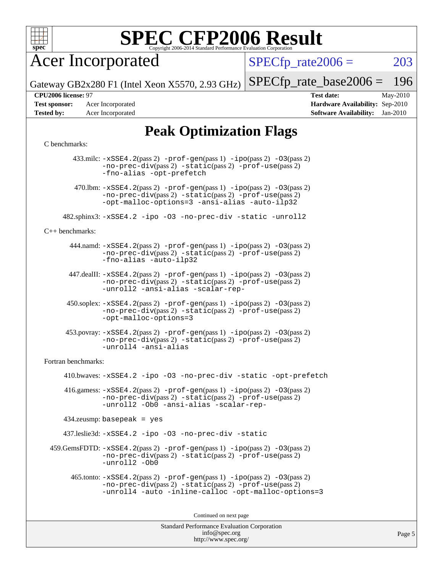

Acer Incorporated

 $SPECTp\_rate2006 = 203$ 

Page 5

Gateway GB2x280 F1 (Intel Xeon X5570, 2.93 GHz)

[SPECfp\\_rate\\_base2006 =](http://www.spec.org/auto/cpu2006/Docs/result-fields.html#SPECfpratebase2006) 196

**[CPU2006 license:](http://www.spec.org/auto/cpu2006/Docs/result-fields.html#CPU2006license)** 97 **[Test date:](http://www.spec.org/auto/cpu2006/Docs/result-fields.html#Testdate)** May-2010

**[Test sponsor:](http://www.spec.org/auto/cpu2006/Docs/result-fields.html#Testsponsor)** Acer Incorporated **[Hardware Availability:](http://www.spec.org/auto/cpu2006/Docs/result-fields.html#HardwareAvailability)** Sep-2010 **[Tested by:](http://www.spec.org/auto/cpu2006/Docs/result-fields.html#Testedby)** Acer Incorporated **[Software Availability:](http://www.spec.org/auto/cpu2006/Docs/result-fields.html#SoftwareAvailability)** Jan-2010

#### **[Peak Optimization Flags](http://www.spec.org/auto/cpu2006/Docs/result-fields.html#PeakOptimizationFlags)**

#### [C benchmarks](http://www.spec.org/auto/cpu2006/Docs/result-fields.html#Cbenchmarks):

Standard Performance Evaluation Corporation 433.milc: [-xSSE4.2](http://www.spec.org/cpu2006/results/res2010q3/cpu2006-20100715-12384.flags.html#user_peakPASS2_CFLAGSPASS2_LDFLAGS433_milc_f-xSSE42_f91528193cf0b216347adb8b939d4107)(pass 2) [-prof-gen](http://www.spec.org/cpu2006/results/res2010q3/cpu2006-20100715-12384.flags.html#user_peakPASS1_CFLAGSPASS1_LDFLAGS433_milc_prof_gen_e43856698f6ca7b7e442dfd80e94a8fc)(pass 1) [-ipo](http://www.spec.org/cpu2006/results/res2010q3/cpu2006-20100715-12384.flags.html#user_peakPASS2_CFLAGSPASS2_LDFLAGS433_milc_f-ipo)(pass 2) [-O3](http://www.spec.org/cpu2006/results/res2010q3/cpu2006-20100715-12384.flags.html#user_peakPASS2_CFLAGSPASS2_LDFLAGS433_milc_f-O3)(pass 2) [-no-prec-div](http://www.spec.org/cpu2006/results/res2010q3/cpu2006-20100715-12384.flags.html#user_peakPASS2_CFLAGSPASS2_LDFLAGS433_milc_f-no-prec-div)(pass 2) [-static](http://www.spec.org/cpu2006/results/res2010q3/cpu2006-20100715-12384.flags.html#user_peakPASS2_CFLAGSPASS2_LDFLAGS433_milc_f-static)(pass 2) [-prof-use](http://www.spec.org/cpu2006/results/res2010q3/cpu2006-20100715-12384.flags.html#user_peakPASS2_CFLAGSPASS2_LDFLAGS433_milc_prof_use_bccf7792157ff70d64e32fe3e1250b55)(pass 2) [-fno-alias](http://www.spec.org/cpu2006/results/res2010q3/cpu2006-20100715-12384.flags.html#user_peakOPTIMIZE433_milc_f-no-alias_694e77f6c5a51e658e82ccff53a9e63a) [-opt-prefetch](http://www.spec.org/cpu2006/results/res2010q3/cpu2006-20100715-12384.flags.html#user_peakOPTIMIZE433_milc_f-opt-prefetch) 470.1bm:  $-xSSE4$ . 2(pass 2)  $-prof-gen(pass 1) -ipo(pass 2) -O3(pass 2)$  $-prof-gen(pass 1) -ipo(pass 2) -O3(pass 2)$  $-prof-gen(pass 1) -ipo(pass 2) -O3(pass 2)$  $-prof-gen(pass 1) -ipo(pass 2) -O3(pass 2)$  $-prof-gen(pass 1) -ipo(pass 2) -O3(pass 2)$  $-prof-gen(pass 1) -ipo(pass 2) -O3(pass 2)$ [-no-prec-div](http://www.spec.org/cpu2006/results/res2010q3/cpu2006-20100715-12384.flags.html#user_peakPASS2_CFLAGSPASS2_LDFLAGS470_lbm_f-no-prec-div)(pass 2) [-static](http://www.spec.org/cpu2006/results/res2010q3/cpu2006-20100715-12384.flags.html#user_peakPASS2_CFLAGSPASS2_LDFLAGS470_lbm_f-static)(pass 2) [-prof-use](http://www.spec.org/cpu2006/results/res2010q3/cpu2006-20100715-12384.flags.html#user_peakPASS2_CFLAGSPASS2_LDFLAGS470_lbm_prof_use_bccf7792157ff70d64e32fe3e1250b55)(pass 2) [-opt-malloc-options=3](http://www.spec.org/cpu2006/results/res2010q3/cpu2006-20100715-12384.flags.html#user_peakOPTIMIZE470_lbm_f-opt-malloc-options_13ab9b803cf986b4ee62f0a5998c2238) [-ansi-alias](http://www.spec.org/cpu2006/results/res2010q3/cpu2006-20100715-12384.flags.html#user_peakOPTIMIZE470_lbm_f-ansi-alias) [-auto-ilp32](http://www.spec.org/cpu2006/results/res2010q3/cpu2006-20100715-12384.flags.html#user_peakCOPTIMIZE470_lbm_f-auto-ilp32) 482.sphinx3: [-xSSE4.2](http://www.spec.org/cpu2006/results/res2010q3/cpu2006-20100715-12384.flags.html#user_peakOPTIMIZE482_sphinx3_f-xSSE42_f91528193cf0b216347adb8b939d4107) [-ipo](http://www.spec.org/cpu2006/results/res2010q3/cpu2006-20100715-12384.flags.html#user_peakOPTIMIZE482_sphinx3_f-ipo) [-O3](http://www.spec.org/cpu2006/results/res2010q3/cpu2006-20100715-12384.flags.html#user_peakOPTIMIZE482_sphinx3_f-O3) [-no-prec-div](http://www.spec.org/cpu2006/results/res2010q3/cpu2006-20100715-12384.flags.html#user_peakOPTIMIZE482_sphinx3_f-no-prec-div) [-static](http://www.spec.org/cpu2006/results/res2010q3/cpu2006-20100715-12384.flags.html#user_peakOPTIMIZE482_sphinx3_f-static) [-unroll2](http://www.spec.org/cpu2006/results/res2010q3/cpu2006-20100715-12384.flags.html#user_peakCOPTIMIZE482_sphinx3_f-unroll_784dae83bebfb236979b41d2422d7ec2) [C++ benchmarks:](http://www.spec.org/auto/cpu2006/Docs/result-fields.html#CXXbenchmarks) 444.namd: [-xSSE4.2](http://www.spec.org/cpu2006/results/res2010q3/cpu2006-20100715-12384.flags.html#user_peakPASS2_CXXFLAGSPASS2_LDFLAGS444_namd_f-xSSE42_f91528193cf0b216347adb8b939d4107)(pass 2) [-prof-gen](http://www.spec.org/cpu2006/results/res2010q3/cpu2006-20100715-12384.flags.html#user_peakPASS1_CXXFLAGSPASS1_LDFLAGS444_namd_prof_gen_e43856698f6ca7b7e442dfd80e94a8fc)(pass 1) [-ipo](http://www.spec.org/cpu2006/results/res2010q3/cpu2006-20100715-12384.flags.html#user_peakPASS2_CXXFLAGSPASS2_LDFLAGS444_namd_f-ipo)(pass 2) [-O3](http://www.spec.org/cpu2006/results/res2010q3/cpu2006-20100715-12384.flags.html#user_peakPASS2_CXXFLAGSPASS2_LDFLAGS444_namd_f-O3)(pass 2) [-no-prec-div](http://www.spec.org/cpu2006/results/res2010q3/cpu2006-20100715-12384.flags.html#user_peakPASS2_CXXFLAGSPASS2_LDFLAGS444_namd_f-no-prec-div)(pass 2) [-static](http://www.spec.org/cpu2006/results/res2010q3/cpu2006-20100715-12384.flags.html#user_peakPASS2_CXXFLAGSPASS2_LDFLAGS444_namd_f-static)(pass 2) [-prof-use](http://www.spec.org/cpu2006/results/res2010q3/cpu2006-20100715-12384.flags.html#user_peakPASS2_CXXFLAGSPASS2_LDFLAGS444_namd_prof_use_bccf7792157ff70d64e32fe3e1250b55)(pass 2) [-fno-alias](http://www.spec.org/cpu2006/results/res2010q3/cpu2006-20100715-12384.flags.html#user_peakCXXOPTIMIZE444_namd_f-no-alias_694e77f6c5a51e658e82ccff53a9e63a) [-auto-ilp32](http://www.spec.org/cpu2006/results/res2010q3/cpu2006-20100715-12384.flags.html#user_peakCXXOPTIMIZE444_namd_f-auto-ilp32) 447.dealII: [-xSSE4.2](http://www.spec.org/cpu2006/results/res2010q3/cpu2006-20100715-12384.flags.html#user_peakPASS2_CXXFLAGSPASS2_LDFLAGS447_dealII_f-xSSE42_f91528193cf0b216347adb8b939d4107)(pass 2) [-prof-gen](http://www.spec.org/cpu2006/results/res2010q3/cpu2006-20100715-12384.flags.html#user_peakPASS1_CXXFLAGSPASS1_LDFLAGS447_dealII_prof_gen_e43856698f6ca7b7e442dfd80e94a8fc)(pass 1) [-ipo](http://www.spec.org/cpu2006/results/res2010q3/cpu2006-20100715-12384.flags.html#user_peakPASS2_CXXFLAGSPASS2_LDFLAGS447_dealII_f-ipo)(pass 2) [-O3](http://www.spec.org/cpu2006/results/res2010q3/cpu2006-20100715-12384.flags.html#user_peakPASS2_CXXFLAGSPASS2_LDFLAGS447_dealII_f-O3)(pass 2) [-no-prec-div](http://www.spec.org/cpu2006/results/res2010q3/cpu2006-20100715-12384.flags.html#user_peakPASS2_CXXFLAGSPASS2_LDFLAGS447_dealII_f-no-prec-div)(pass 2) [-static](http://www.spec.org/cpu2006/results/res2010q3/cpu2006-20100715-12384.flags.html#user_peakPASS2_CXXFLAGSPASS2_LDFLAGS447_dealII_f-static)(pass 2) [-prof-use](http://www.spec.org/cpu2006/results/res2010q3/cpu2006-20100715-12384.flags.html#user_peakPASS2_CXXFLAGSPASS2_LDFLAGS447_dealII_prof_use_bccf7792157ff70d64e32fe3e1250b55)(pass 2) [-unroll2](http://www.spec.org/cpu2006/results/res2010q3/cpu2006-20100715-12384.flags.html#user_peakCXXOPTIMIZE447_dealII_f-unroll_784dae83bebfb236979b41d2422d7ec2) [-ansi-alias](http://www.spec.org/cpu2006/results/res2010q3/cpu2006-20100715-12384.flags.html#user_peakCXXOPTIMIZE447_dealII_f-ansi-alias) [-scalar-rep-](http://www.spec.org/cpu2006/results/res2010q3/cpu2006-20100715-12384.flags.html#user_peakCXXOPTIMIZE447_dealII_f-disablescalarrep_abbcad04450fb118e4809c81d83c8a1d) 450.soplex: [-xSSE4.2](http://www.spec.org/cpu2006/results/res2010q3/cpu2006-20100715-12384.flags.html#user_peakPASS2_CXXFLAGSPASS2_LDFLAGS450_soplex_f-xSSE42_f91528193cf0b216347adb8b939d4107)(pass 2) [-prof-gen](http://www.spec.org/cpu2006/results/res2010q3/cpu2006-20100715-12384.flags.html#user_peakPASS1_CXXFLAGSPASS1_LDFLAGS450_soplex_prof_gen_e43856698f6ca7b7e442dfd80e94a8fc)(pass 1) [-ipo](http://www.spec.org/cpu2006/results/res2010q3/cpu2006-20100715-12384.flags.html#user_peakPASS2_CXXFLAGSPASS2_LDFLAGS450_soplex_f-ipo)(pass 2) [-O3](http://www.spec.org/cpu2006/results/res2010q3/cpu2006-20100715-12384.flags.html#user_peakPASS2_CXXFLAGSPASS2_LDFLAGS450_soplex_f-O3)(pass 2) [-no-prec-div](http://www.spec.org/cpu2006/results/res2010q3/cpu2006-20100715-12384.flags.html#user_peakPASS2_CXXFLAGSPASS2_LDFLAGS450_soplex_f-no-prec-div)(pass 2) [-static](http://www.spec.org/cpu2006/results/res2010q3/cpu2006-20100715-12384.flags.html#user_peakPASS2_CXXFLAGSPASS2_LDFLAGS450_soplex_f-static)(pass 2) [-prof-use](http://www.spec.org/cpu2006/results/res2010q3/cpu2006-20100715-12384.flags.html#user_peakPASS2_CXXFLAGSPASS2_LDFLAGS450_soplex_prof_use_bccf7792157ff70d64e32fe3e1250b55)(pass 2) [-opt-malloc-options=3](http://www.spec.org/cpu2006/results/res2010q3/cpu2006-20100715-12384.flags.html#user_peakOPTIMIZE450_soplex_f-opt-malloc-options_13ab9b803cf986b4ee62f0a5998c2238) 453.povray: [-xSSE4.2](http://www.spec.org/cpu2006/results/res2010q3/cpu2006-20100715-12384.flags.html#user_peakPASS2_CXXFLAGSPASS2_LDFLAGS453_povray_f-xSSE42_f91528193cf0b216347adb8b939d4107)(pass 2) [-prof-gen](http://www.spec.org/cpu2006/results/res2010q3/cpu2006-20100715-12384.flags.html#user_peakPASS1_CXXFLAGSPASS1_LDFLAGS453_povray_prof_gen_e43856698f6ca7b7e442dfd80e94a8fc)(pass 1) [-ipo](http://www.spec.org/cpu2006/results/res2010q3/cpu2006-20100715-12384.flags.html#user_peakPASS2_CXXFLAGSPASS2_LDFLAGS453_povray_f-ipo)(pass 2) [-O3](http://www.spec.org/cpu2006/results/res2010q3/cpu2006-20100715-12384.flags.html#user_peakPASS2_CXXFLAGSPASS2_LDFLAGS453_povray_f-O3)(pass 2) [-no-prec-div](http://www.spec.org/cpu2006/results/res2010q3/cpu2006-20100715-12384.flags.html#user_peakPASS2_CXXFLAGSPASS2_LDFLAGS453_povray_f-no-prec-div)(pass 2) [-static](http://www.spec.org/cpu2006/results/res2010q3/cpu2006-20100715-12384.flags.html#user_peakPASS2_CXXFLAGSPASS2_LDFLAGS453_povray_f-static)(pass 2) [-prof-use](http://www.spec.org/cpu2006/results/res2010q3/cpu2006-20100715-12384.flags.html#user_peakPASS2_CXXFLAGSPASS2_LDFLAGS453_povray_prof_use_bccf7792157ff70d64e32fe3e1250b55)(pass 2) [-unroll4](http://www.spec.org/cpu2006/results/res2010q3/cpu2006-20100715-12384.flags.html#user_peakCXXOPTIMIZE453_povray_f-unroll_4e5e4ed65b7fd20bdcd365bec371b81f) [-ansi-alias](http://www.spec.org/cpu2006/results/res2010q3/cpu2006-20100715-12384.flags.html#user_peakCXXOPTIMIZE453_povray_f-ansi-alias) [Fortran benchmarks](http://www.spec.org/auto/cpu2006/Docs/result-fields.html#Fortranbenchmarks): 410.bwaves: [-xSSE4.2](http://www.spec.org/cpu2006/results/res2010q3/cpu2006-20100715-12384.flags.html#user_peakOPTIMIZE410_bwaves_f-xSSE42_f91528193cf0b216347adb8b939d4107) [-ipo](http://www.spec.org/cpu2006/results/res2010q3/cpu2006-20100715-12384.flags.html#user_peakOPTIMIZE410_bwaves_f-ipo) [-O3](http://www.spec.org/cpu2006/results/res2010q3/cpu2006-20100715-12384.flags.html#user_peakOPTIMIZE410_bwaves_f-O3) [-no-prec-div](http://www.spec.org/cpu2006/results/res2010q3/cpu2006-20100715-12384.flags.html#user_peakOPTIMIZE410_bwaves_f-no-prec-div) [-static](http://www.spec.org/cpu2006/results/res2010q3/cpu2006-20100715-12384.flags.html#user_peakOPTIMIZE410_bwaves_f-static) [-opt-prefetch](http://www.spec.org/cpu2006/results/res2010q3/cpu2006-20100715-12384.flags.html#user_peakOPTIMIZE410_bwaves_f-opt-prefetch) 416.gamess:  $-xSSE4$ . 2(pass 2)  $-prof-gen(pass 1) -ipo(pass 2) -O3(pass 2)$  $-prof-gen(pass 1) -ipo(pass 2) -O3(pass 2)$  $-prof-gen(pass 1) -ipo(pass 2) -O3(pass 2)$  $-prof-gen(pass 1) -ipo(pass 2) -O3(pass 2)$  $-prof-gen(pass 1) -ipo(pass 2) -O3(pass 2)$  $-prof-gen(pass 1) -ipo(pass 2) -O3(pass 2)$ [-no-prec-div](http://www.spec.org/cpu2006/results/res2010q3/cpu2006-20100715-12384.flags.html#user_peakPASS2_FFLAGSPASS2_LDFLAGS416_gamess_f-no-prec-div)(pass 2) [-static](http://www.spec.org/cpu2006/results/res2010q3/cpu2006-20100715-12384.flags.html#user_peakPASS2_FFLAGSPASS2_LDFLAGS416_gamess_f-static)(pass 2) [-prof-use](http://www.spec.org/cpu2006/results/res2010q3/cpu2006-20100715-12384.flags.html#user_peakPASS2_FFLAGSPASS2_LDFLAGS416_gamess_prof_use_bccf7792157ff70d64e32fe3e1250b55)(pass 2) [-unroll2](http://www.spec.org/cpu2006/results/res2010q3/cpu2006-20100715-12384.flags.html#user_peakOPTIMIZE416_gamess_f-unroll_784dae83bebfb236979b41d2422d7ec2) [-Ob0](http://www.spec.org/cpu2006/results/res2010q3/cpu2006-20100715-12384.flags.html#user_peakOPTIMIZE416_gamess_f-Ob_n_fbe6f6428adb7d4b74b1e99bb2444c2d) [-ansi-alias](http://www.spec.org/cpu2006/results/res2010q3/cpu2006-20100715-12384.flags.html#user_peakOPTIMIZE416_gamess_f-ansi-alias) [-scalar-rep-](http://www.spec.org/cpu2006/results/res2010q3/cpu2006-20100715-12384.flags.html#user_peakOPTIMIZE416_gamess_f-disablescalarrep_abbcad04450fb118e4809c81d83c8a1d) 434.zeusmp: basepeak = yes 437.leslie3d: [-xSSE4.2](http://www.spec.org/cpu2006/results/res2010q3/cpu2006-20100715-12384.flags.html#user_peakOPTIMIZE437_leslie3d_f-xSSE42_f91528193cf0b216347adb8b939d4107) [-ipo](http://www.spec.org/cpu2006/results/res2010q3/cpu2006-20100715-12384.flags.html#user_peakOPTIMIZE437_leslie3d_f-ipo) [-O3](http://www.spec.org/cpu2006/results/res2010q3/cpu2006-20100715-12384.flags.html#user_peakOPTIMIZE437_leslie3d_f-O3) [-no-prec-div](http://www.spec.org/cpu2006/results/res2010q3/cpu2006-20100715-12384.flags.html#user_peakOPTIMIZE437_leslie3d_f-no-prec-div) [-static](http://www.spec.org/cpu2006/results/res2010q3/cpu2006-20100715-12384.flags.html#user_peakOPTIMIZE437_leslie3d_f-static)  $459$ .GemsFDTD:  $-xSSE4$ .  $2(pass 2)$  [-prof-gen](http://www.spec.org/cpu2006/results/res2010q3/cpu2006-20100715-12384.flags.html#user_peakPASS1_FFLAGSPASS1_LDFLAGS459_GemsFDTD_prof_gen_e43856698f6ca7b7e442dfd80e94a8fc)(pass 1) [-ipo](http://www.spec.org/cpu2006/results/res2010q3/cpu2006-20100715-12384.flags.html#user_peakPASS2_FFLAGSPASS2_LDFLAGS459_GemsFDTD_f-ipo)(pass 2) -03(pass 2) [-no-prec-div](http://www.spec.org/cpu2006/results/res2010q3/cpu2006-20100715-12384.flags.html#user_peakPASS2_FFLAGSPASS2_LDFLAGS459_GemsFDTD_f-no-prec-div)(pass 2) [-static](http://www.spec.org/cpu2006/results/res2010q3/cpu2006-20100715-12384.flags.html#user_peakPASS2_FFLAGSPASS2_LDFLAGS459_GemsFDTD_f-static)(pass 2) [-prof-use](http://www.spec.org/cpu2006/results/res2010q3/cpu2006-20100715-12384.flags.html#user_peakPASS2_FFLAGSPASS2_LDFLAGS459_GemsFDTD_prof_use_bccf7792157ff70d64e32fe3e1250b55)(pass 2) [-unroll2](http://www.spec.org/cpu2006/results/res2010q3/cpu2006-20100715-12384.flags.html#user_peakOPTIMIZE459_GemsFDTD_f-unroll_784dae83bebfb236979b41d2422d7ec2) [-Ob0](http://www.spec.org/cpu2006/results/res2010q3/cpu2006-20100715-12384.flags.html#user_peakOPTIMIZE459_GemsFDTD_f-Ob_n_fbe6f6428adb7d4b74b1e99bb2444c2d) 465.tonto: [-xSSE4.2](http://www.spec.org/cpu2006/results/res2010q3/cpu2006-20100715-12384.flags.html#user_peakPASS2_FFLAGSPASS2_LDFLAGS465_tonto_f-xSSE42_f91528193cf0b216347adb8b939d4107)(pass 2) [-prof-gen](http://www.spec.org/cpu2006/results/res2010q3/cpu2006-20100715-12384.flags.html#user_peakPASS1_FFLAGSPASS1_LDFLAGS465_tonto_prof_gen_e43856698f6ca7b7e442dfd80e94a8fc)(pass 1) [-ipo](http://www.spec.org/cpu2006/results/res2010q3/cpu2006-20100715-12384.flags.html#user_peakPASS2_FFLAGSPASS2_LDFLAGS465_tonto_f-ipo)(pass 2) [-O3](http://www.spec.org/cpu2006/results/res2010q3/cpu2006-20100715-12384.flags.html#user_peakPASS2_FFLAGSPASS2_LDFLAGS465_tonto_f-O3)(pass 2) [-no-prec-div](http://www.spec.org/cpu2006/results/res2010q3/cpu2006-20100715-12384.flags.html#user_peakPASS2_FFLAGSPASS2_LDFLAGS465_tonto_f-no-prec-div)(pass 2) [-static](http://www.spec.org/cpu2006/results/res2010q3/cpu2006-20100715-12384.flags.html#user_peakPASS2_FFLAGSPASS2_LDFLAGS465_tonto_f-static)(pass 2) [-prof-use](http://www.spec.org/cpu2006/results/res2010q3/cpu2006-20100715-12384.flags.html#user_peakPASS2_FFLAGSPASS2_LDFLAGS465_tonto_prof_use_bccf7792157ff70d64e32fe3e1250b55)(pass 2) [-unroll4](http://www.spec.org/cpu2006/results/res2010q3/cpu2006-20100715-12384.flags.html#user_peakOPTIMIZE465_tonto_f-unroll_4e5e4ed65b7fd20bdcd365bec371b81f) [-auto](http://www.spec.org/cpu2006/results/res2010q3/cpu2006-20100715-12384.flags.html#user_peakOPTIMIZE465_tonto_f-auto) [-inline-calloc](http://www.spec.org/cpu2006/results/res2010q3/cpu2006-20100715-12384.flags.html#user_peakOPTIMIZE465_tonto_f-inline-calloc) [-opt-malloc-options=3](http://www.spec.org/cpu2006/results/res2010q3/cpu2006-20100715-12384.flags.html#user_peakOPTIMIZE465_tonto_f-opt-malloc-options_13ab9b803cf986b4ee62f0a5998c2238) Continued on next page

> [info@spec.org](mailto:info@spec.org) <http://www.spec.org/>